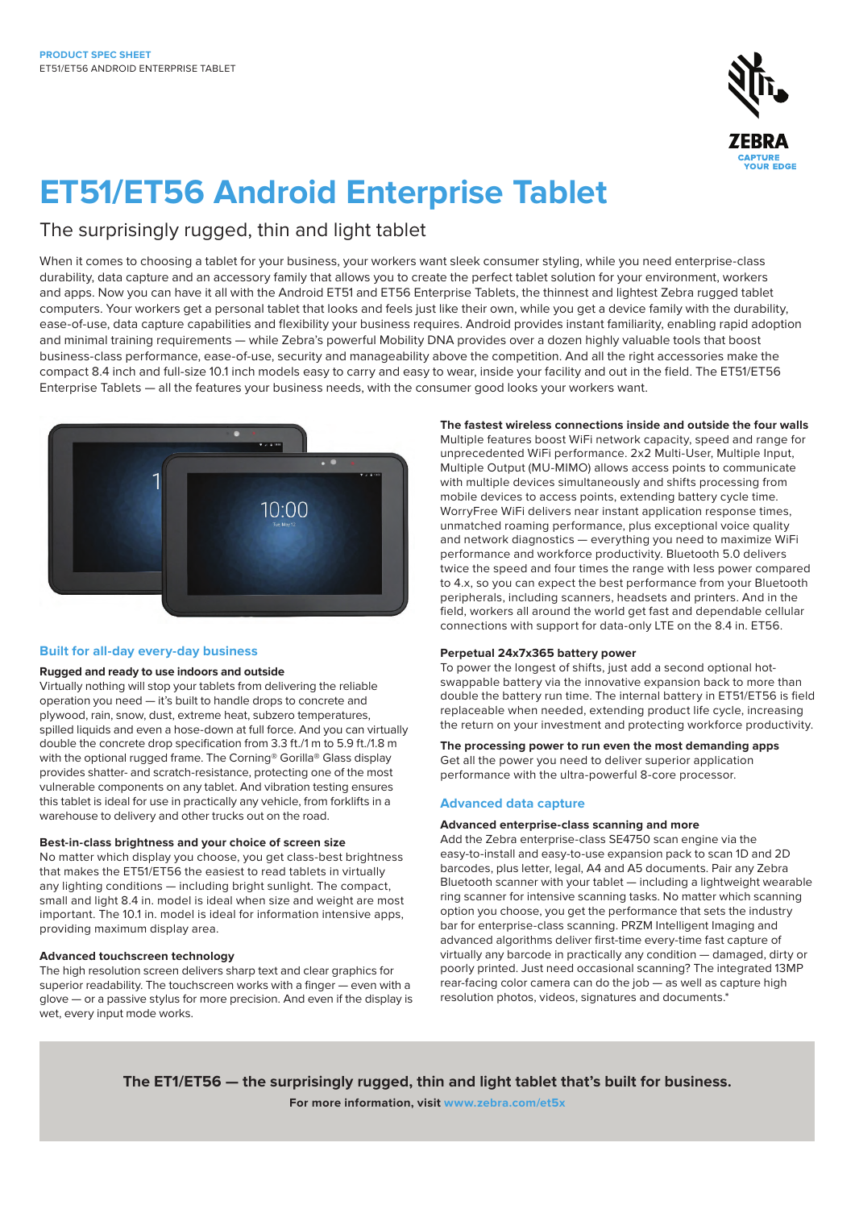

# **ET51/ET56 Android Enterprise Tablet**

# The surprisingly rugged, thin and light tablet

When it comes to choosing a tablet for your business, your workers want sleek consumer styling, while you need enterprise-class durability, data capture and an accessory family that allows you to create the perfect tablet solution for your environment, workers and apps. Now you can have it all with the Android ET51 and ET56 Enterprise Tablets, the thinnest and lightest Zebra rugged tablet computers. Your workers get a personal tablet that looks and feels just like their own, while you get a device family with the durability, ease-of-use, data capture capabilities and flexibility your business requires. Android provides instant familiarity, enabling rapid adoption and minimal training requirements — while Zebra's powerful Mobility DNA provides over a dozen highly valuable tools that boost business-class performance, ease-of-use, security and manageability above the competition. And all the right accessories make the compact 8.4 inch and full-size 10.1 inch models easy to carry and easy to wear, inside your facility and out in the field. The ET51/ET56 Enterprise Tablets — all the features your business needs, with the consumer good looks your workers want.



# **Built for all-day every-day business**

# **Rugged and ready to use indoors and outside**

Virtually nothing will stop your tablets from delivering the reliable operation you need — it's built to handle drops to concrete and plywood, rain, snow, dust, extreme heat, subzero temperatures, spilled liquids and even a hose-down at full force. And you can virtually double the concrete drop specification from 3.3 ft./1 m to 5.9 ft./1.8 m with the optional rugged frame. The Corning® Gorilla® Glass display provides shatter- and scratch-resistance, protecting one of the most vulnerable components on any tablet. And vibration testing ensures this tablet is ideal for use in practically any vehicle, from forklifts in a warehouse to delivery and other trucks out on the road.

## **Best-in-class brightness and your choice of screen size**

No matter which display you choose, you get class-best brightness that makes the ET51/ET56 the easiest to read tablets in virtually any lighting conditions — including bright sunlight. The compact, small and light 8.4 in. model is ideal when size and weight are most important. The 10.1 in. model is ideal for information intensive apps, providing maximum display area.

# **Advanced touchscreen technology**

The high resolution screen delivers sharp text and clear graphics for superior readability. The touchscreen works with a finger — even with a glove — or a passive stylus for more precision. And even if the display is wet, every input mode works.

**The fastest wireless connections inside and outside the four walls** Multiple features boost WiFi network capacity, speed and range for unprecedented WiFi performance. 2x2 Multi-User, Multiple Input, Multiple Output (MU-MIMO) allows access points to communicate with multiple devices simultaneously and shifts processing from mobile devices to access points, extending battery cycle time. WorryFree WiFi delivers near instant application response times, unmatched roaming performance, plus exceptional voice quality and network diagnostics — everything you need to maximize WiFi performance and workforce productivity. Bluetooth 5.0 delivers twice the speed and four times the range with less power compared to 4.x, so you can expect the best performance from your Bluetooth peripherals, including scanners, headsets and printers. And in the field, workers all around the world get fast and dependable cellular connections with support for data-only LTE on the 8.4 in. ET56.

# **Perpetual 24x7x365 battery power**

To power the longest of shifts, just add a second optional hotswappable battery via the innovative expansion back to more than double the battery run time. The internal battery in ET51/ET56 is field replaceable when needed, extending product life cycle, increasing the return on your investment and protecting workforce productivity.

# **The processing power to run even the most demanding apps**

Get all the power you need to deliver superior application performance with the ultra-powerful 8-core processor.

# **Advanced data capture**

# **Advanced enterprise-class scanning and more**

Add the Zebra enterprise-class SE4750 scan engine via the easy-to-install and easy-to-use expansion pack to scan 1D and 2D barcodes, plus letter, legal, A4 and A5 documents. Pair any Zebra Bluetooth scanner with your tablet — including a lightweight wearable ring scanner for intensive scanning tasks. No matter which scanning option you choose, you get the performance that sets the industry bar for enterprise-class scanning. PRZM Intelligent Imaging and advanced algorithms deliver first-time every-time fast capture of virtually any barcode in practically any condition — damaged, dirty or poorly printed. Just need occasional scanning? The integrated 13MP rear-facing color camera can do the job — as well as capture high resolution photos, videos, signatures and documents.\*

**The ET1/ET56 — the surprisingly rugged, thin and light tablet that's built for business. For more information, visit [www.zebra.com/et5x](http://www.zebra.com/et5x)**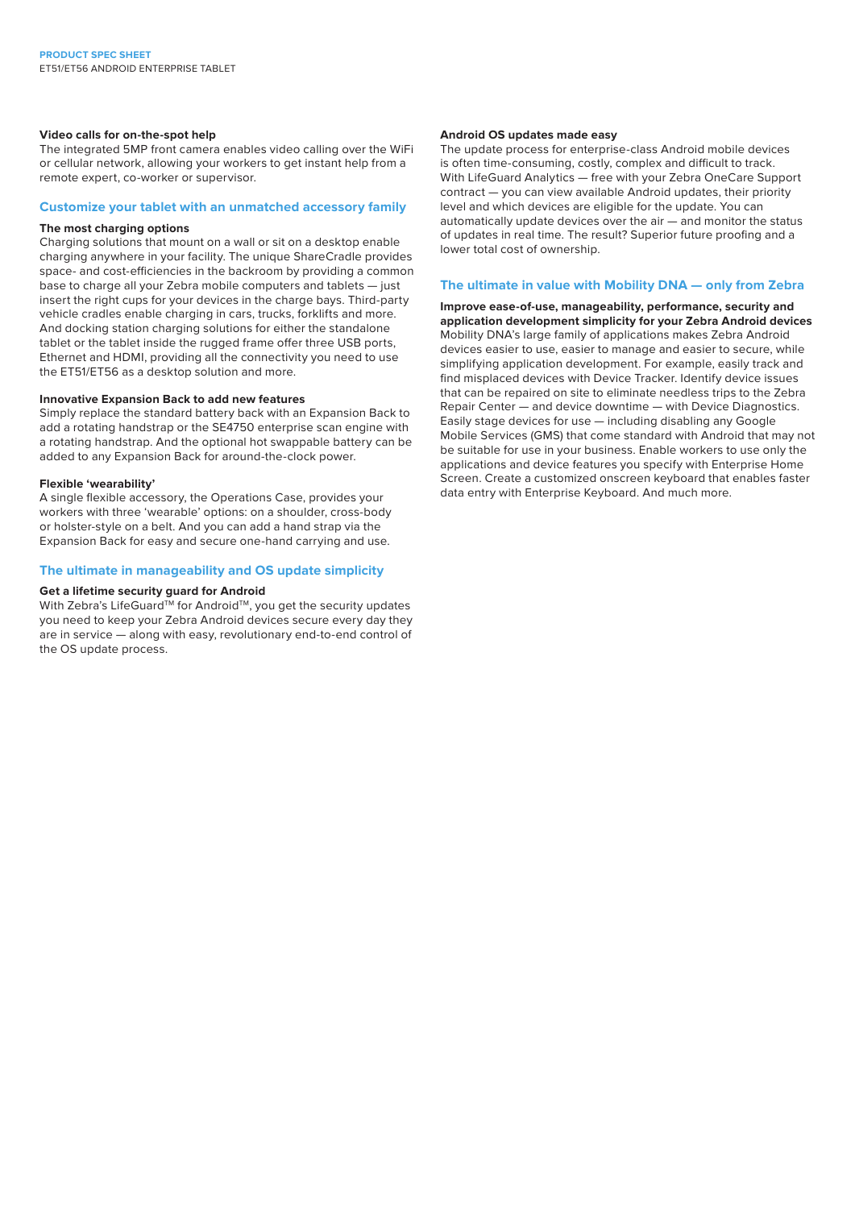#### **Video calls for on-the-spot help**

The integrated 5MP front camera enables video calling over the WiFi or cellular network, allowing your workers to get instant help from a remote expert, co-worker or supervisor.

## **Customize your tablet with an unmatched accessory family**

# **The most charging options**

Charging solutions that mount on a wall or sit on a desktop enable charging anywhere in your facility. The unique ShareCradle provides space- and cost-efficiencies in the backroom by providing a common base to charge all your Zebra mobile computers and tablets — just insert the right cups for your devices in the charge bays. Third-party vehicle cradles enable charging in cars, trucks, forklifts and more. And docking station charging solutions for either the standalone tablet or the tablet inside the rugged frame offer three USB ports, Ethernet and HDMI, providing all the connectivity you need to use the ET51/ET56 as a desktop solution and more.

# **Innovative Expansion Back to add new features**

Simply replace the standard battery back with an Expansion Back to add a rotating handstrap or the SE4750 enterprise scan engine with a rotating handstrap. And the optional hot swappable battery can be added to any Expansion Back for around-the-clock power.

#### **Flexible 'wearability'**

A single flexible accessory, the Operations Case, provides your workers with three 'wearable' options: on a shoulder, cross-body or holster-style on a belt. And you can add a hand strap via the Expansion Back for easy and secure one-hand carrying and use.

#### **The ultimate in manageability and OS update simplicity**

#### **Get a lifetime security guard for Android**

With Zebra's LifeGuard™ for Android™, you get the security updates you need to keep your Zebra Android devices secure every day they are in service — along with easy, revolutionary end-to-end control of the OS update process.

# **Android OS updates made easy**

The update process for enterprise-class Android mobile devices is often time-consuming, costly, complex and difficult to track. With LifeGuard Analytics — free with your Zebra OneCare Support contract — you can view available Android updates, their priority level and which devices are eligible for the update. You can automatically update devices over the air — and monitor the status of updates in real time. The result? Superior future proofing and a lower total cost of ownership.

#### **The ultimate in value with Mobility DNA — only from Zebra**

**Improve ease-of-use, manageability, performance, security and application development simplicity for your Zebra Android devices**  Mobility DNA's large family of applications makes Zebra Android devices easier to use, easier to manage and easier to secure, while simplifying application development. For example, easily track and find misplaced devices with Device Tracker. Identify device issues that can be repaired on site to eliminate needless trips to the Zebra Repair Center — and device downtime — with Device Diagnostics. Easily stage devices for use — including disabling any Google Mobile Services (GMS) that come standard with Android that may not be suitable for use in your business. Enable workers to use only the applications and device features you specify with Enterprise Home Screen. Create a customized onscreen keyboard that enables faster data entry with Enterprise Keyboard. And much more.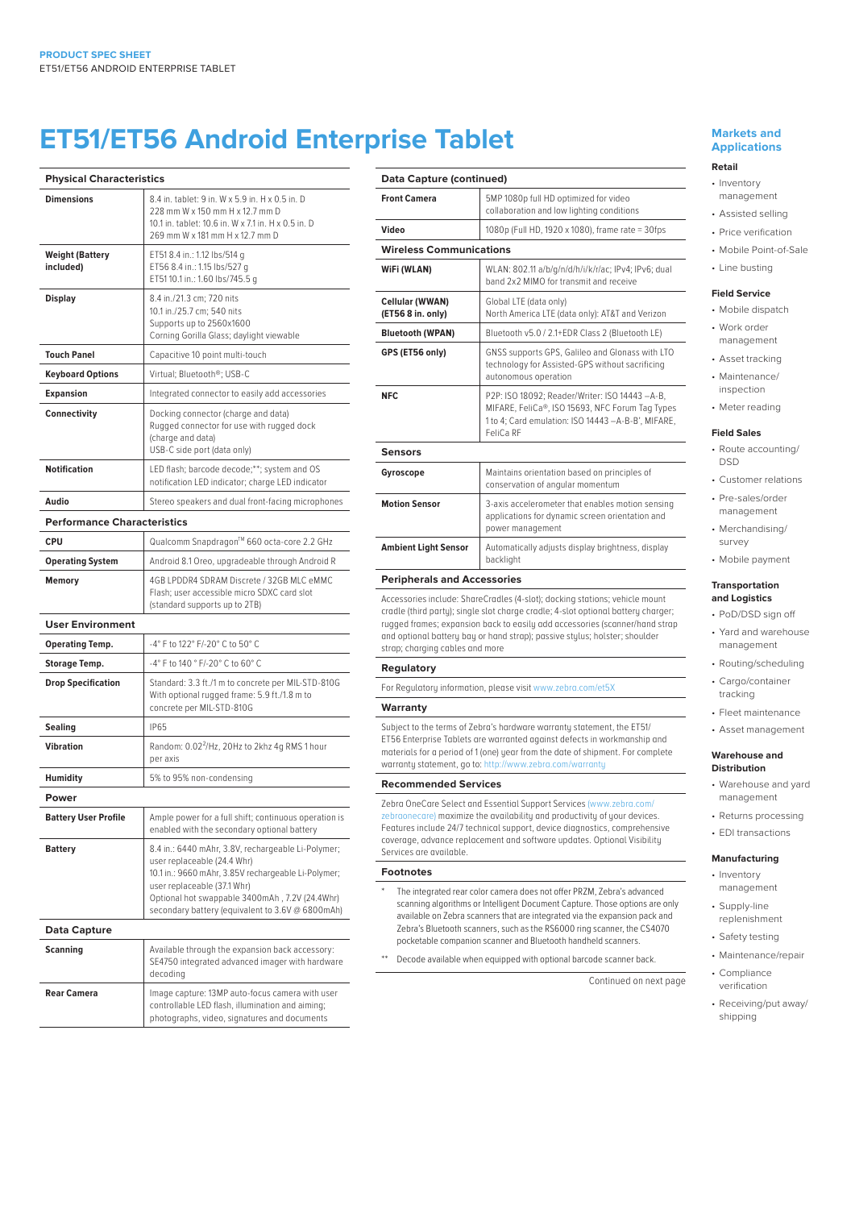# **ET51/ET56 Android Enterprise Tablet**

| <b>Physical Characteristics</b>     |                                                                                                                                                                                                                                                                               |
|-------------------------------------|-------------------------------------------------------------------------------------------------------------------------------------------------------------------------------------------------------------------------------------------------------------------------------|
| <b>Dimensions</b>                   | 8.4 in. tablet: 9 in. W x 5.9 in. H x 0.5 in. D<br>228 mm W x 150 mm H x 12.7 mm D<br>10.1 in. tablet: 10.6 in. W x 7.1 in. H x 0.5 in. D<br>269 mm W x 181 mm H x 12.7 mm D                                                                                                  |
| <b>Weight (Battery</b><br>included) | ET51 8.4 in.: 1.12 lbs/514 g<br>ET56 8.4 in.: 1.15 lbs/527 a<br>ET5110.1 in.: 1.60 lbs/745.5 g                                                                                                                                                                                |
| <b>Display</b>                      | 8.4 in./21.3 cm; 720 nits<br>10.1 in./25.7 cm; 540 nits<br>Supports up to 2560x1600<br>Corning Gorilla Glass; daylight viewable                                                                                                                                               |
| <b>Touch Panel</b>                  | Capacitive 10 point multi-touch                                                                                                                                                                                                                                               |
| <b>Keyboard Options</b>             | Virtual; Bluetooth®; USB-C                                                                                                                                                                                                                                                    |
| <b>Expansion</b>                    | Integrated connector to easily add accessories                                                                                                                                                                                                                                |
| Connectivity                        | Docking connector (charge and data)<br>Rugged connector for use with rugged dock<br>(charge and data)<br>USB-C side port (data only)                                                                                                                                          |
| <b>Notification</b>                 | LED flash; barcode decode;**; system and OS<br>notification LED indicator; charge LED indicator                                                                                                                                                                               |
| Audio                               | Stereo speakers and dual front-facing microphones                                                                                                                                                                                                                             |
| <b>Performance Characteristics</b>  |                                                                                                                                                                                                                                                                               |
| <b>CPU</b>                          | Qualcomm Snapdragon™ 660 octa-core 2.2 GHz                                                                                                                                                                                                                                    |
| <b>Operating System</b>             | Android 8.1 Oreo, upgradeable through Android R                                                                                                                                                                                                                               |
| <b>Memory</b>                       | 4GB LPDDR4 SDRAM Discrete / 32GB MLC eMMC<br>Flash; user accessible micro SDXC card slot<br>(standard supports up to 2TB)                                                                                                                                                     |
| <b>User Environment</b>             |                                                                                                                                                                                                                                                                               |
| <b>Operating Temp.</b>              | -4° F to 122° F/-20° C to 50° C                                                                                                                                                                                                                                               |
| <b>Storage Temp.</b>                | -4° F to 140 ° F/-20° C to 60° C                                                                                                                                                                                                                                              |
| <b>Drop Specification</b>           | Standard: 3.3 ft./1 m to concrete per MIL-STD-810G<br>With optional rugged frame: 5.9 ft./1.8 m to<br>concrete per MIL-STD-810G                                                                                                                                               |
| Sealing                             | <b>IP65</b>                                                                                                                                                                                                                                                                   |
| <b>Vibration</b>                    | Random: 0.02 <sup>2</sup> /Hz, 20Hz to 2khz 4q RMS 1 hour<br>per axis                                                                                                                                                                                                         |
| <b>Humidity</b>                     | 5% to 95% non-condensing                                                                                                                                                                                                                                                      |
| Power                               |                                                                                                                                                                                                                                                                               |
| <b>Battery User Profile</b>         | Ample power for a full shift; continuous operation is<br>enabled with the secondary optional battery                                                                                                                                                                          |
| <b>Battery</b>                      | 8.4 in.: 6440 mAhr, 3.8V, rechargeable Li-Polymer;<br>user replaceable (24.4 Whr)<br>10.1 in.: 9660 mAhr, 3.85V rechargeable Li-Polymer;<br>user replaceable (37.1 Whr)<br>Optional hot swappable 3400mAh, 7.2V (24.4Whr)<br>secondary battery (equivalent to 3.6V @ 6800mAh) |
| <b>Data Capture</b>                 |                                                                                                                                                                                                                                                                               |
| Scanning                            | Available through the expansion back accessory:<br>SE4750 integrated advanced imager with hardware<br>decodina                                                                                                                                                                |
| <b>Rear Camera</b>                  | Image capture: 13MP auto-focus camera with user<br>controllable LED flash, illumination and aiming;<br>photographs, video, signatures and documents                                                                                                                           |

| Data Capture (continued)             |                                                                                                                                                                      |
|--------------------------------------|----------------------------------------------------------------------------------------------------------------------------------------------------------------------|
| <b>Front Camera</b>                  | 5MP 1080p full HD optimized for video<br>collaboration and low lighting conditions                                                                                   |
| Video                                | 1080p (Full HD, 1920 x 1080), frame rate = 30fps                                                                                                                     |
| <b>Wireless Communications</b>       |                                                                                                                                                                      |
| WiFi (WLAN)                          | WLAN: 802.11 a/b/g/n/d/h/i/k/r/ac; IPv4; IPv6; dual<br>band 2x2 MIMO for transmit and receive                                                                        |
| Cellular (WWAN)<br>(ET56 8 in. only) | Global LTE (data only)<br>North America LTE (data only): AT&T and Verizon                                                                                            |
| <b>Bluetooth (WPAN)</b>              | Bluetooth v5.0 / 2.1+EDR Class 2 (Bluetooth LE)                                                                                                                      |
| GPS (ET56 only)                      | GNSS supports GPS, Galileo and Glonass with LTO<br>technology for Assisted-GPS without sacrificing<br>autonomous operation                                           |
| <b>NFC</b>                           | P2P: ISO 18092; Reader/Writer: ISO 14443 -A-B,<br>MIFARE, FeliCa®, ISO 15693, NFC Forum Tag Types<br>1 to 4; Card emulation: ISO 14443 -A-B-B', MIFARE,<br>FeliCa RF |
| <b>Sensors</b>                       |                                                                                                                                                                      |
| Gyroscope                            | Maintains orientation based on principles of<br>conservation of angular momentum                                                                                     |
| <b>Motion Sensor</b>                 | 3-axis accelerometer that enables motion sensing<br>applications for dynamic screen orientation and<br>power management                                              |
| <b>Ambient Light Sensor</b>          | Automatically adjusts display brightness, display<br>backlight                                                                                                       |
| <b>Peripherals and Accessories</b>   |                                                                                                                                                                      |

Accessories include: ShareCradles (4-slot); docking stations; vehicle mount cradle (third party); single slot charge cradle; 4-slot optional battery charger; rugged frames; expansion back to easily add accessories (scanner/hand strap and optional battery bay or hand strap); passive stylus; holster; shoulder strap; charging cables and more

#### **Regulatory**

For Regulatory information, please visit [www.zebra.com/et5X](http://www.zebra.com/et5x)

#### **Warranty**

Subject to the terms of Zebra's hardware warranty statement, the ET51/ ET56 Enterprise Tablets are warranted against defects in workmanship and materials for a period of 1 (one) year from the date of shipment. For complete warranty statement, go to:<http://www.zebra.com/warranty>

#### **Recommended Services**

Zebra OneCare Select and Essential Support Services ([www.zebra.com/](http://www.zebra.com/zebraonecare) [zebraonecare](http://www.zebra.com/zebraonecare)) maximize the availability and productivity of your devices. Features include 24/7 technical support, device diagnostics, comprehensive coverage, advance replacement and software updates. Optional Visibility Services are available.

#### **Footnotes**

\* The integrated rear color camera does not offer PRZM, Zebra's advanced scanning algorithms or Intelligent Document Capture. Those options are only available on Zebra scanners that are integrated via the expansion pack and Zebra's Bluetooth scanners, such as the RS6000 ring scanner, the CS4070 pocketable companion scanner and Bluetooth handheld scanners.

\*\* Decode available when equipped with optional barcode scanner back.

Continued on next page

#### **Markets and Applications**

# **Retail**

- Inventory management
- Assisted selling
- Price verification
- Mobile Point-of-Sale
- Line busting

# **Field Service**

- Mobile dispatch
- Work order management
- Asset tracking
- Maintenance/
- inspection
- Meter reading

#### **Field Sales**

- Route accounting/ DSD
- Customer relations
- Pre-sales/order management
- Merchandising/ survey
- Mobile payment

#### **Transportation and Logistics**

- PoD/DSD sign off
- Yard and warehouse management
- Routing/scheduling
- Cargo/container tracking
- Fleet maintenance
- Asset management

#### **Warehouse and Distribution**

- Warehouse and yard management
- Returns processing
- EDI transactions

#### **Manufacturing**

- Inventory management
- Supply-line replenishment
- Safety testing
- Maintenance/repair
- Compliance verification
- Receiving/put away/ shipping